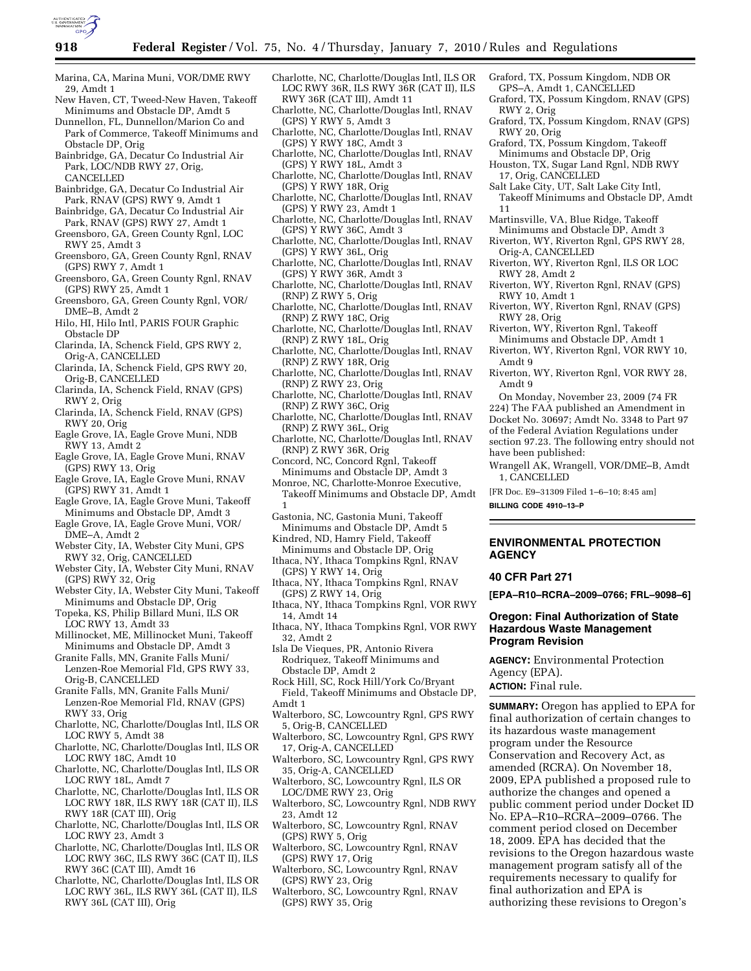

- Marina, CA, Marina Muni, VOR/DME RWY 29, Amdt 1
- New Haven, CT, Tweed-New Haven, Takeoff Minimums and Obstacle DP, Amdt 5
- Dunnellon, FL, Dunnellon/Marion Co and Park of Commerce, Takeoff Minimums and Obstacle DP, Orig
- Bainbridge, GA, Decatur Co Industrial Air Park, LOC/NDB RWY 27, Orig, CANCELLED
- Bainbridge, GA, Decatur Co Industrial Air Park, RNAV (GPS) RWY 9, Amdt 1
- Bainbridge, GA, Decatur Co Industrial Air Park, RNAV (GPS) RWY 27, Amdt 1
- Greensboro, GA, Green County Rgnl, LOC RWY 25, Amdt 3
- Greensboro, GA, Green County Rgnl, RNAV (GPS) RWY 7, Amdt 1
- Greensboro, GA, Green County Rgnl, RNAV (GPS) RWY 25, Amdt 1
- Greensboro, GA, Green County Rgnl, VOR/ DME–B, Amdt 2
- Hilo, HI, Hilo Intl, PARIS FOUR Graphic Obstacle DP
- Clarinda, IA, Schenck Field, GPS RWY 2, Orig-A, CANCELLED
- Clarinda, IA, Schenck Field, GPS RWY 20, Orig-B, CANCELLED
- Clarinda, IA, Schenck Field, RNAV (GPS) RWY 2, Orig
- Clarinda, IA, Schenck Field, RNAV (GPS) RWY 20, Orig
- Eagle Grove, IA, Eagle Grove Muni, NDB RWY 13, Amdt 2
- Eagle Grove, IA, Eagle Grove Muni, RNAV (GPS) RWY 13, Orig
- Eagle Grove, IA, Eagle Grove Muni, RNAV (GPS) RWY 31, Amdt 1
- Eagle Grove, IA, Eagle Grove Muni, Takeoff Minimums and Obstacle DP, Amdt 3
- Eagle Grove, IA, Eagle Grove Muni, VOR/ DME–A, Amdt 2
- Webster City, IA, Webster City Muni, GPS RWY 32, Orig, CANCELLED
- Webster City, IA, Webster City Muni, RNAV (GPS) RWY 32, Orig
- Webster City, IA, Webster City Muni, Takeoff Minimums and Obstacle DP, Orig
- Topeka, KS, Philip Billard Muni, ILS OR LOC RWY 13, Amdt 33
- Millinocket, ME, Millinocket Muni, Takeoff Minimums and Obstacle DP, Amdt 3
- Granite Falls, MN, Granite Falls Muni/ Lenzen-Roe Memorial Fld, GPS RWY 33, Orig-B, CANCELLED
- Granite Falls, MN, Granite Falls Muni/ Lenzen-Roe Memorial Fld, RNAV (GPS) RWY 33, Orig
- Charlotte, NC, Charlotte/Douglas Intl, ILS OR LOC RWY 5, Amdt 38
- Charlotte, NC, Charlotte/Douglas Intl, ILS OR LOC RWY 18C, Amdt 10
- Charlotte, NC, Charlotte/Douglas Intl, ILS OR LOC RWY 18L, Amdt 7
- Charlotte, NC, Charlotte/Douglas Intl, ILS OR LOC RWY 18R, ILS RWY 18R (CAT II), ILS RWY 18R (CAT III), Orig
- Charlotte, NC, Charlotte/Douglas Intl, ILS OR LOC RWY 23, Amdt 3
- Charlotte, NC, Charlotte/Douglas Intl, ILS OR LOC RWY 36C, ILS RWY 36C (CAT II), ILS RWY 36C (CAT III), Amdt 16
- Charlotte, NC, Charlotte/Douglas Intl, ILS OR LOC RWY 36L, ILS RWY 36L (CAT II), ILS RWY 36L (CAT III), Orig
- Charlotte, NC, Charlotte/Douglas Intl, ILS OR LOC RWY 36R, ILS RWY 36R (CAT II), ILS RWY 36R (CAT III), Amdt 11
- Charlotte, NC, Charlotte/Douglas Intl, RNAV (GPS) Y RWY 5, Amdt 3
- Charlotte, NC, Charlotte/Douglas Intl, RNAV (GPS) Y RWY 18C, Amdt 3
- Charlotte, NC, Charlotte/Douglas Intl, RNAV (GPS) Y RWY 18L, Amdt 3
- Charlotte, NC, Charlotte/Douglas Intl, RNAV (GPS) Y RWY 18R, Orig
- Charlotte, NC, Charlotte/Douglas Intl, RNAV (GPS) Y RWY 23, Amdt 1
- Charlotte, NC, Charlotte/Douglas Intl, RNAV (GPS) Y RWY 36C, Amdt 3
- Charlotte, NC, Charlotte/Douglas Intl, RNAV (GPS) Y RWY 36L, Orig
- Charlotte, NC, Charlotte/Douglas Intl, RNAV (GPS) Y RWY 36R, Amdt 3
- Charlotte, NC, Charlotte/Douglas Intl, RNAV (RNP) Z RWY 5, Orig
- Charlotte, NC, Charlotte/Douglas Intl, RNAV (RNP) Z RWY 18C, Orig
- Charlotte, NC, Charlotte/Douglas Intl, RNAV (RNP) Z RWY 18L, Orig
- Charlotte, NC, Charlotte/Douglas Intl, RNAV (RNP) Z RWY 18R, Orig
- Charlotte, NC, Charlotte/Douglas Intl, RNAV (RNP) Z RWY 23, Orig
- Charlotte, NC, Charlotte/Douglas Intl, RNAV (RNP) Z RWY 36C, Orig
- Charlotte, NC, Charlotte/Douglas Intl, RNAV (RNP) Z RWY 36L, Orig
- Charlotte, NC, Charlotte/Douglas Intl, RNAV (RNP) Z RWY 36R, Orig
- Concord, NC, Concord Rgnl, Takeoff Minimums and Obstacle DP, Amdt 3
- Monroe, NC, Charlotte-Monroe Executive,
- Takeoff Minimums and Obstacle DP, Amdt 1
- Gastonia, NC, Gastonia Muni, Takeoff
- Minimums and Obstacle DP, Amdt 5 Kindred, ND, Hamry Field, Takeoff
- Minimums and Obstacle DP, Orig Ithaca, NY, Ithaca Tompkins Rgnl, RNAV (GPS) Y RWY 14, Orig
- Ithaca, NY, Ithaca Tompkins Rgnl, RNAV (GPS) Z RWY 14, Orig
- Ithaca, NY, Ithaca Tompkins Rgnl, VOR RWY 14, Amdt 14
- Ithaca, NY, Ithaca Tompkins Rgnl, VOR RWY 32, Amdt 2
- Isla De Vieques, PR, Antonio Rivera Rodriquez, Takeoff Minimums and Obstacle DP, Amdt 2
- Rock Hill, SC, Rock Hill/York Co/Bryant Field, Takeoff Minimums and Obstacle DP, Amdt 1
- Walterboro, SC, Lowcountry Rgnl, GPS RWY 5, Orig-B, CANCELLED
- Walterboro, SC, Lowcountry Rgnl, GPS RWY 17, Orig-A, CANCELLED
- Walterboro, SC, Lowcountry Rgnl, GPS RWY 35, Orig-A, CANCELLED
- Walterboro, SC, Lowcountry Rgnl, ILS OR LOC/DME RWY 23, Orig
- Walterboro, SC, Lowcountry Rgnl, NDB RWY 23, Amdt 12
- Walterboro, SC, Lowcountry Rgnl, RNAV (GPS) RWY 5, Orig
- Walterboro, SC, Lowcountry Rgnl, RNAV (GPS) RWY 17, Orig
- Walterboro, SC, Lowcountry Rgnl, RNAV (GPS) RWY 23, Orig
- Walterboro, SC, Lowcountry Rgnl, RNAV (GPS) RWY 35, Orig
- Graford, TX, Possum Kingdom, NDB OR
- GPS–A, Amdt 1, CANCELLED Graford, TX, Possum Kingdom, RNAV (GPS) RWY 2, Orig
- Graford, TX, Possum Kingdom, RNAV (GPS) RWY 20, Orig
- Graford, TX, Possum Kingdom, Takeoff
- Minimums and Obstacle DP, Orig
- Houston, TX, Sugar Land Rgnl, NDB RWY 17, Orig, CANCELLED
- Salt Lake City, UT, Salt Lake City Intl, Takeoff Minimums and Obstacle DP, Amdt 11
- Martinsville, VA, Blue Ridge, Takeoff Minimums and Obstacle DP, Amdt 3
- Riverton, WY, Riverton Rgnl, GPS RWY 28, Orig-A, CANCELLED
- Riverton, WY, Riverton Rgnl, ILS OR LOC RWY 28, Amdt 2
- Riverton, WY, Riverton Rgnl, RNAV (GPS) RWY 10, Amdt 1
- Riverton, WY, Riverton Rgnl, RNAV (GPS) RWY 28, Orig
- Riverton, WY, Riverton Rgnl, Takeoff
- Minimums and Obstacle DP, Amdt 1 Riverton, WY, Riverton Rgnl, VOR RWY 10, Amdt 9
- Riverton, WY, Riverton Rgnl, VOR RWY 28, Amdt 9
- On Monday, November 23, 2009 (74 FR
- 224) The FAA published an Amendment in
- Docket No. 30697; Amdt No. 3348 to Part 97
- of the Federal Aviation Regulations under section 97.23. The following entry should not have been published:

Wrangell AK, Wrangell, VOR/DME–B, Amdt 1, CANCELLED

[FR Doc. E9–31309 Filed 1–6–10; 8:45 am]

**BILLING CODE 4910–13–P** 

### **ENVIRONMENTAL PROTECTION AGENCY**

### **40 CFR Part 271**

**ACTION:** Final rule.

**[EPA–R10–RCRA–2009–0766; FRL–9098–6]** 

# **Oregon: Final Authorization of State Hazardous Waste Management Program Revision**

**SUMMARY:** Oregon has applied to EPA for final authorization of certain changes to its hazardous waste management program under the Resource Conservation and Recovery Act, as amended (RCRA). On November 18, 2009, EPA published a proposed rule to authorize the changes and opened a public comment period under Docket ID No. EPA–R10–RCRA–2009–0766. The comment period closed on December 18, 2009. EPA has decided that the revisions to the Oregon hazardous waste management program satisfy all of the requirements necessary to qualify for final authorization and EPA is

authorizing these revisions to Oregon's

**AGENCY:** Environmental Protection Agency (EPA).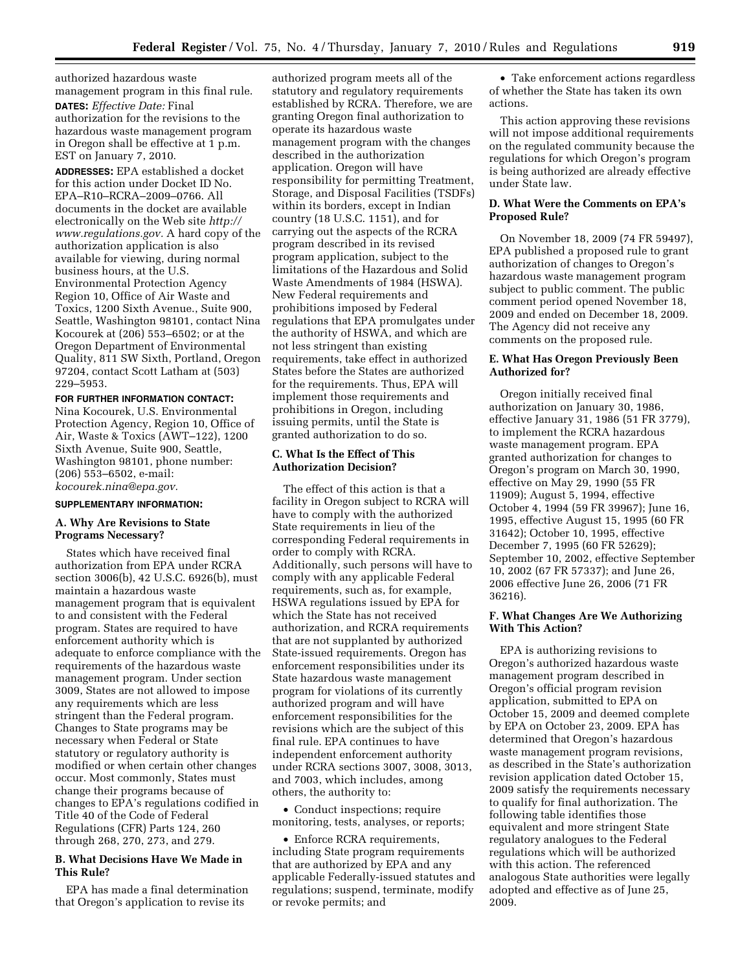authorized hazardous waste management program in this final rule. **DATES:** *Effective Date:* Final authorization for the revisions to the hazardous waste management program in Oregon shall be effective at 1 p.m. EST on January 7, 2010.

**ADDRESSES:** EPA established a docket for this action under Docket ID No. EPA–R10–RCRA–2009–0766. All documents in the docket are available electronically on the Web site *http:// www.regulations.gov.* A hard copy of the authorization application is also available for viewing, during normal business hours, at the U.S. Environmental Protection Agency Region 10, Office of Air Waste and Toxics, 1200 Sixth Avenue., Suite 900, Seattle, Washington 98101, contact Nina Kocourek at (206) 553–6502; or at the Oregon Department of Environmental Quality, 811 SW Sixth, Portland, Oregon 97204, contact Scott Latham at (503) 229–5953.

**FOR FURTHER INFORMATION CONTACT:**  Nina Kocourek, U.S. Environmental Protection Agency, Region 10, Office of Air, Waste & Toxics (AWT–122), 1200 Sixth Avenue, Suite 900, Seattle, Washington 98101, phone number:

(206) 553–6502, e-mail: *kocourek.nina@epa.gov.* 

#### **SUPPLEMENTARY INFORMATION:**

### **A. Why Are Revisions to State Programs Necessary?**

States which have received final authorization from EPA under RCRA section 3006(b), 42 U.S.C. 6926(b), must maintain a hazardous waste management program that is equivalent to and consistent with the Federal program. States are required to have enforcement authority which is adequate to enforce compliance with the requirements of the hazardous waste management program. Under section 3009, States are not allowed to impose any requirements which are less stringent than the Federal program. Changes to State programs may be necessary when Federal or State statutory or regulatory authority is modified or when certain other changes occur. Most commonly, States must change their programs because of changes to EPA's regulations codified in Title 40 of the Code of Federal Regulations (CFR) Parts 124, 260 through 268, 270, 273, and 279.

# **B. What Decisions Have We Made in This Rule?**

EPA has made a final determination that Oregon's application to revise its

authorized program meets all of the statutory and regulatory requirements established by RCRA. Therefore, we are granting Oregon final authorization to operate its hazardous waste management program with the changes described in the authorization application. Oregon will have responsibility for permitting Treatment, Storage, and Disposal Facilities (TSDFs) within its borders, except in Indian country (18 U.S.C. 1151), and for carrying out the aspects of the RCRA program described in its revised program application, subject to the limitations of the Hazardous and Solid Waste Amendments of 1984 (HSWA). New Federal requirements and prohibitions imposed by Federal regulations that EPA promulgates under the authority of HSWA, and which are not less stringent than existing requirements, take effect in authorized States before the States are authorized for the requirements. Thus, EPA will implement those requirements and prohibitions in Oregon, including issuing permits, until the State is granted authorization to do so.

# **C. What Is the Effect of This Authorization Decision?**

The effect of this action is that a facility in Oregon subject to RCRA will have to comply with the authorized State requirements in lieu of the corresponding Federal requirements in order to comply with RCRA. Additionally, such persons will have to comply with any applicable Federal requirements, such as, for example, HSWA regulations issued by EPA for which the State has not received authorization, and RCRA requirements that are not supplanted by authorized State-issued requirements. Oregon has enforcement responsibilities under its State hazardous waste management program for violations of its currently authorized program and will have enforcement responsibilities for the revisions which are the subject of this final rule. EPA continues to have independent enforcement authority under RCRA sections 3007, 3008, 3013, and 7003, which includes, among others, the authority to:

• Conduct inspections; require monitoring, tests, analyses, or reports;

• Enforce RCRA requirements, including State program requirements that are authorized by EPA and any applicable Federally-issued statutes and regulations; suspend, terminate, modify or revoke permits; and

• Take enforcement actions regardless of whether the State has taken its own actions.

This action approving these revisions will not impose additional requirements on the regulated community because the regulations for which Oregon's program is being authorized are already effective under State law.

### **D. What Were the Comments on EPA's Proposed Rule?**

On November 18, 2009 (74 FR 59497), EPA published a proposed rule to grant authorization of changes to Oregon's hazardous waste management program subject to public comment. The public comment period opened November 18, 2009 and ended on December 18, 2009. The Agency did not receive any comments on the proposed rule.

# **E. What Has Oregon Previously Been Authorized for?**

Oregon initially received final authorization on January 30, 1986, effective January 31, 1986 (51 FR 3779), to implement the RCRA hazardous waste management program. EPA granted authorization for changes to Oregon's program on March 30, 1990, effective on May 29, 1990 (55 FR 11909); August 5, 1994, effective October 4, 1994 (59 FR 39967); June 16, 1995, effective August 15, 1995 (60 FR 31642); October 10, 1995, effective December 7, 1995 (60 FR 52629); September 10, 2002, effective September 10, 2002 (67 FR 57337); and June 26, 2006 effective June 26, 2006 (71 FR 36216).

# **F. What Changes Are We Authorizing With This Action?**

EPA is authorizing revisions to Oregon's authorized hazardous waste management program described in Oregon's official program revision application, submitted to EPA on October 15, 2009 and deemed complete by EPA on October 23, 2009. EPA has determined that Oregon's hazardous waste management program revisions, as described in the State's authorization revision application dated October 15, 2009 satisfy the requirements necessary to qualify for final authorization. The following table identifies those equivalent and more stringent State regulatory analogues to the Federal regulations which will be authorized with this action. The referenced analogous State authorities were legally adopted and effective as of June 25, 2009.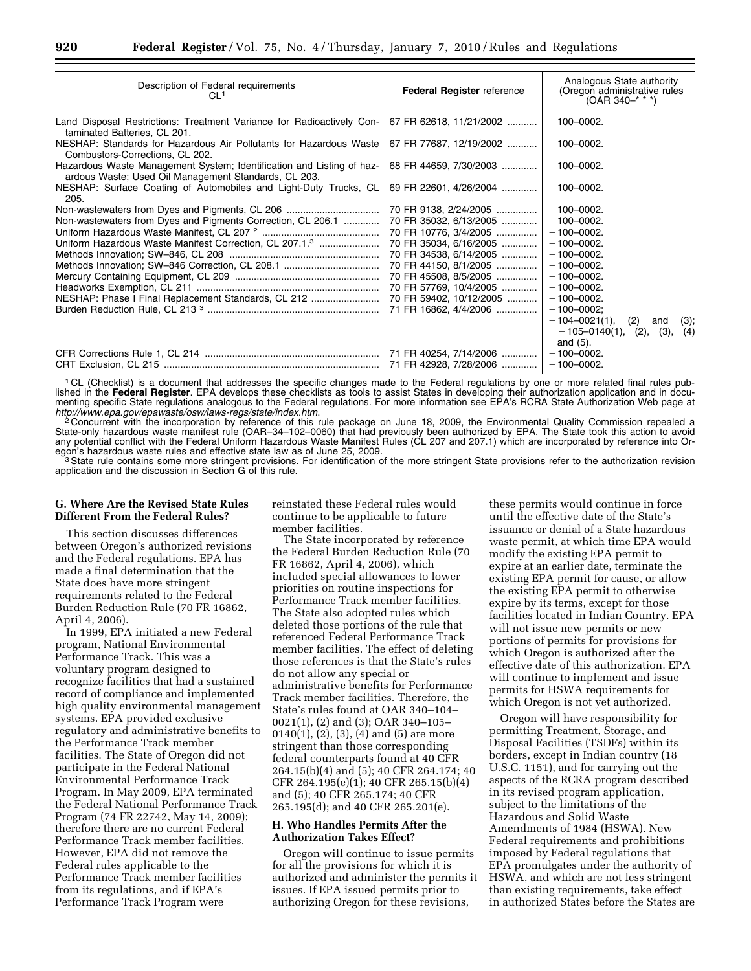| Description of Federal requirements<br>CL <sup>1</sup>                                                                        | <b>Federal Register reference</b> | Analogous State authority<br>(Oregon administrative rules<br>$(OAR 340-***)$ |
|-------------------------------------------------------------------------------------------------------------------------------|-----------------------------------|------------------------------------------------------------------------------|
| Land Disposal Restrictions: Treatment Variance for Radioactively Con-<br>taminated Batteries, CL 201.                         | 67 FR 62618, 11/21/2002           | $-100 - 0002.$                                                               |
| NESHAP: Standards for Hazardous Air Pollutants for Hazardous Waste<br>Combustors-Corrections, CL 202.                         | 67 FR 77687, 12/19/2002           | $-100 - 0002.$                                                               |
| Hazardous Waste Management System; Identification and Listing of haz-<br>ardous Waste; Used Oil Management Standards, CL 203. | 68 FR 44659, 7/30/2003            | $-100 - 0002.$                                                               |
| NESHAP: Surface Coating of Automobiles and Light-Duty Trucks, CL<br>205.                                                      | 69 FR 22601, 4/26/2004            | $-100 - 0002.$                                                               |
| Non-wastewaters from Dyes and Pigments, CL 206                                                                                | 70 FR 9138, 2/24/2005             | $-100 - 0002.$                                                               |
| Non-wastewaters from Dyes and Pigments Correction, CL 206.1                                                                   | 70 FR 35032, 6/13/2005            | $-100 - 0002.$                                                               |
|                                                                                                                               | 70 FR 10776, 3/4/2005             | $-100 - 0002.$                                                               |
| Uniform Hazardous Waste Manifest Correction, CL 207.1.3                                                                       | 70 FR 35034, 6/16/2005            | $-100 - 0002.$                                                               |
|                                                                                                                               | 70 FR 34538, 6/14/2005            | $-100 - 0002.$                                                               |
|                                                                                                                               | 70 FR 44150, 8/1/2005             | $-100 - 0002.$                                                               |
|                                                                                                                               | 70 FR 45508, 8/5/2005             | $-100 - 0002.$                                                               |
|                                                                                                                               | 70 FR 57769, 10/4/2005            | $-100 - 0002.$                                                               |
| NESHAP: Phase I Final Replacement Standards, CL 212                                                                           | 70 FR 59402, 10/12/2005           | $-100 - 0002.$                                                               |
|                                                                                                                               | 71 FR 16862, 4/4/2006             | $-100 - 0002$ ;                                                              |
|                                                                                                                               |                                   | $-104 - 0021(1)$<br>(2)<br>$(3)$ ;<br>and                                    |
|                                                                                                                               |                                   | $-105-0140(1), (2), (3), (4)$                                                |
|                                                                                                                               |                                   | and (5).                                                                     |
|                                                                                                                               | 71 FR 40254, 7/14/2006            | $-100 - 0002.$                                                               |
|                                                                                                                               | 71 FR 42928, 7/28/2006            | $-100 - 0002.$                                                               |

1 CL (Checklist) is a document that addresses the specific changes made to the Federal regulations by one or more related final rules published in the **Federal Register**. EPA develops these checklists as tools to assist States in developing their authorization application and in documenting specific State regulations analogous to the Federal regulations. For more information see EPA's RCRA State Authorization Web page at *http://www.epa.gov/epawaste/osw/laws-regs/state/index.htm*. 2 Concurrent with the incorporation by reference of this rule package on June 18, 2009, the Environmental Quality Commission repealed a

State-only hazardous waste manifest rule (OAR–34–102–0060) that had previously been authorized by EPA. The State took this action to avoid any potential conflict with the Federal Uniform Hazardous Waste Manifest Rules (CL 207 and 207.1) which are incorporated by reference into Or-

egon's hazardous waste rules and effective state law as of June 25, 2009.<br><sup>3</sup>State rule contains some more stringent provisions. For identification of the more stringent State provisions refer to the authorization revision application and the discussion in Section G of this rule.

# **G. Where Are the Revised State Rules Different From the Federal Rules?**

This section discusses differences between Oregon's authorized revisions and the Federal regulations. EPA has made a final determination that the State does have more stringent requirements related to the Federal Burden Reduction Rule (70 FR 16862, April 4, 2006).

In 1999, EPA initiated a new Federal program, National Environmental Performance Track. This was a voluntary program designed to recognize facilities that had a sustained record of compliance and implemented high quality environmental management systems. EPA provided exclusive regulatory and administrative benefits to the Performance Track member facilities. The State of Oregon did not participate in the Federal National Environmental Performance Track Program. In May 2009, EPA terminated the Federal National Performance Track Program (74 FR 22742, May 14, 2009); therefore there are no current Federal Performance Track member facilities. However, EPA did not remove the Federal rules applicable to the Performance Track member facilities from its regulations, and if EPA's Performance Track Program were

reinstated these Federal rules would continue to be applicable to future member facilities.

The State incorporated by reference the Federal Burden Reduction Rule (70 FR 16862, April 4, 2006), which included special allowances to lower priorities on routine inspections for Performance Track member facilities. The State also adopted rules which deleted those portions of the rule that referenced Federal Performance Track member facilities. The effect of deleting those references is that the State's rules do not allow any special or administrative benefits for Performance Track member facilities. Therefore, the State's rules found at OAR 340–104– 0021(1), (2) and (3); OAR 340–105– 0140(1), (2), (3), (4) and (5) are more stringent than those corresponding federal counterparts found at 40 CFR 264.15(b)(4) and (5); 40 CFR 264.174; 40 CFR 264.195(e)(1); 40 CFR 265.15(b)(4) and (5); 40 CFR 265.174; 40 CFR 265.195(d); and 40 CFR 265.201(e).

# **H. Who Handles Permits After the Authorization Takes Effect?**

Oregon will continue to issue permits for all the provisions for which it is authorized and administer the permits it issues. If EPA issued permits prior to authorizing Oregon for these revisions,

these permits would continue in force until the effective date of the State's issuance or denial of a State hazardous waste permit, at which time EPA would modify the existing EPA permit to expire at an earlier date, terminate the existing EPA permit for cause, or allow the existing EPA permit to otherwise expire by its terms, except for those facilities located in Indian Country. EPA will not issue new permits or new portions of permits for provisions for which Oregon is authorized after the effective date of this authorization. EPA will continue to implement and issue permits for HSWA requirements for which Oregon is not yet authorized.

Oregon will have responsibility for permitting Treatment, Storage, and Disposal Facilities (TSDFs) within its borders, except in Indian country (18 U.S.C. 1151), and for carrying out the aspects of the RCRA program described in its revised program application, subject to the limitations of the Hazardous and Solid Waste Amendments of 1984 (HSWA). New Federal requirements and prohibitions imposed by Federal regulations that EPA promulgates under the authority of HSWA, and which are not less stringent than existing requirements, take effect in authorized States before the States are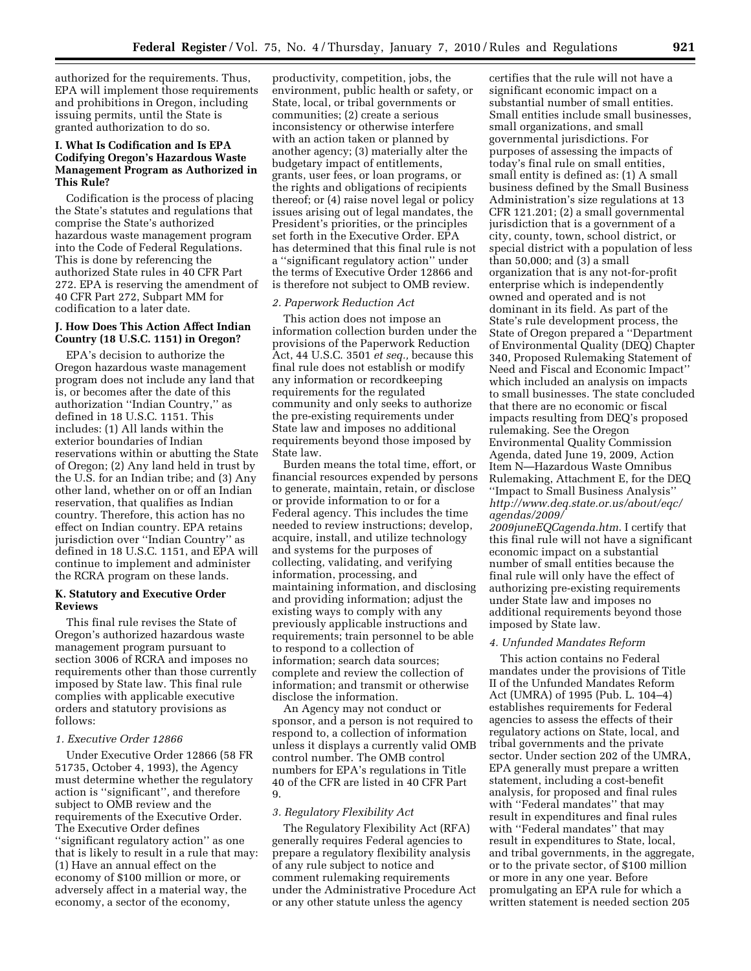authorized for the requirements. Thus, EPA will implement those requirements and prohibitions in Oregon, including issuing permits, until the State is granted authorization to do so.

# **I. What Is Codification and Is EPA Codifying Oregon's Hazardous Waste Management Program as Authorized in This Rule?**

Codification is the process of placing the State's statutes and regulations that comprise the State's authorized hazardous waste management program into the Code of Federal Regulations. This is done by referencing the authorized State rules in 40 CFR Part 272. EPA is reserving the amendment of 40 CFR Part 272, Subpart MM for codification to a later date.

#### **J. How Does This Action Affect Indian Country (18 U.S.C. 1151) in Oregon?**

EPA's decision to authorize the Oregon hazardous waste management program does not include any land that is, or becomes after the date of this authorization ''Indian Country,'' as defined in 18 U.S.C. 1151. This includes: (1) All lands within the exterior boundaries of Indian reservations within or abutting the State of Oregon; (2) Any land held in trust by the U.S. for an Indian tribe; and (3) Any other land, whether on or off an Indian reservation, that qualifies as Indian country. Therefore, this action has no effect on Indian country. EPA retains jurisdiction over ''Indian Country'' as defined in 18 U.S.C. 1151, and EPA will continue to implement and administer the RCRA program on these lands.

### **K. Statutory and Executive Order Reviews**

This final rule revises the State of Oregon's authorized hazardous waste management program pursuant to section 3006 of RCRA and imposes no requirements other than those currently imposed by State law. This final rule complies with applicable executive orders and statutory provisions as follows:

### *1. Executive Order 12866*

Under Executive Order 12866 (58 FR 51735, October 4, 1993), the Agency must determine whether the regulatory action is ''significant'', and therefore subject to OMB review and the requirements of the Executive Order. The Executive Order defines ''significant regulatory action'' as one that is likely to result in a rule that may: (1) Have an annual effect on the economy of \$100 million or more, or adversely affect in a material way, the economy, a sector of the economy,

productivity, competition, jobs, the environment, public health or safety, or State, local, or tribal governments or communities; (2) create a serious inconsistency or otherwise interfere with an action taken or planned by another agency; (3) materially alter the budgetary impact of entitlements, grants, user fees, or loan programs, or the rights and obligations of recipients thereof; or (4) raise novel legal or policy issues arising out of legal mandates, the President's priorities, or the principles set forth in the Executive Order. EPA has determined that this final rule is not a ''significant regulatory action'' under the terms of Executive Order 12866 and is therefore not subject to OMB review.

### *2. Paperwork Reduction Act*

This action does not impose an information collection burden under the provisions of the Paperwork Reduction Act, 44 U.S.C. 3501 *et seq.,* because this final rule does not establish or modify any information or recordkeeping requirements for the regulated community and only seeks to authorize the pre-existing requirements under State law and imposes no additional requirements beyond those imposed by State law.

Burden means the total time, effort, or financial resources expended by persons to generate, maintain, retain, or disclose or provide information to or for a Federal agency. This includes the time needed to review instructions; develop, acquire, install, and utilize technology and systems for the purposes of collecting, validating, and verifying information, processing, and maintaining information, and disclosing and providing information; adjust the existing ways to comply with any previously applicable instructions and requirements; train personnel to be able to respond to a collection of information; search data sources; complete and review the collection of information; and transmit or otherwise disclose the information.

An Agency may not conduct or sponsor, and a person is not required to respond to, a collection of information unless it displays a currently valid OMB control number. The OMB control numbers for EPA's regulations in Title 40 of the CFR are listed in 40 CFR Part 9.

### *3. Regulatory Flexibility Act*

The Regulatory Flexibility Act (RFA) generally requires Federal agencies to prepare a regulatory flexibility analysis of any rule subject to notice and comment rulemaking requirements under the Administrative Procedure Act or any other statute unless the agency

certifies that the rule will not have a significant economic impact on a substantial number of small entities. Small entities include small businesses, small organizations, and small governmental jurisdictions. For purposes of assessing the impacts of today's final rule on small entities, small entity is defined as: (1) A small business defined by the Small Business Administration's size regulations at 13 CFR 121.201; (2) a small governmental jurisdiction that is a government of a city, county, town, school district, or special district with a population of less than 50,000; and (3) a small organization that is any not-for-profit enterprise which is independently owned and operated and is not dominant in its field. As part of the State's rule development process, the State of Oregon prepared a ''Department of Environmental Quality (DEQ) Chapter 340, Proposed Rulemaking Statement of Need and Fiscal and Economic Impact'' which included an analysis on impacts to small businesses. The state concluded that there are no economic or fiscal impacts resulting from DEQ's proposed rulemaking. See the Oregon Environmental Quality Commission Agenda, dated June 19, 2009, Action Item N—Hazardous Waste Omnibus Rulemaking, Attachment E, for the DEQ ''Impact to Small Business Analysis'' *http://www.deq.state.or.us/about/eqc/ agendas/2009/* 

*2009juneEQCagenda.htm*. I certify that this final rule will not have a significant economic impact on a substantial number of small entities because the final rule will only have the effect of authorizing pre-existing requirements under State law and imposes no additional requirements beyond those imposed by State law.

#### *4. Unfunded Mandates Reform*

This action contains no Federal mandates under the provisions of Title II of the Unfunded Mandates Reform Act (UMRA) of 1995 (Pub. L. 104–4) establishes requirements for Federal agencies to assess the effects of their regulatory actions on State, local, and tribal governments and the private sector. Under section 202 of the UMRA, EPA generally must prepare a written statement, including a cost-benefit analysis, for proposed and final rules with ''Federal mandates'' that may result in expenditures and final rules with ''Federal mandates'' that may result in expenditures to State, local, and tribal governments, in the aggregate, or to the private sector, of \$100 million or more in any one year. Before promulgating an EPA rule for which a written statement is needed section 205